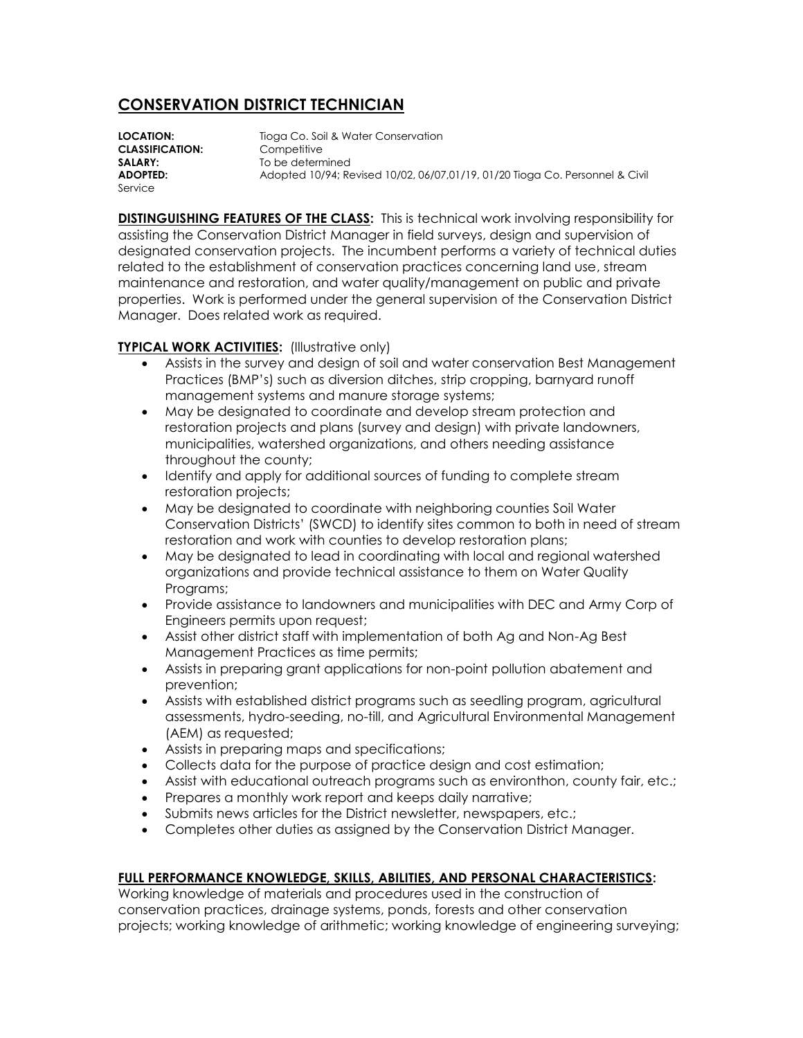## **CONSERVATION DISTRICT TECHNICIAN**

**LOCATION:** Tioga Co. Soil & Water Conservation **CLASSIFICATION:** Competitive **SALARY:** To be determined **ADOPTED:** Adopted 10/94; Revised 10/02, 06/07,01/19, 01/20 Tioga Co. Personnel & Civil Service

**DISTINGUISHING FEATURES OF THE CLASS:** This is technical work involving responsibility for assisting the Conservation District Manager in field surveys, design and supervision of designated conservation projects. The incumbent performs a variety of technical duties related to the establishment of conservation practices concerning land use, stream maintenance and restoration, and water quality/management on public and private properties. Work is performed under the general supervision of the Conservation District Manager. Does related work as required.

## **TYPICAL WORK ACTIVITIES:** (Illustrative only)

- Assists in the survey and design of soil and water conservation Best Management Practices (BMP's) such as diversion ditches, strip cropping, barnyard runoff management systems and manure storage systems;
- May be designated to coordinate and develop stream protection and restoration projects and plans (survey and design) with private landowners, municipalities, watershed organizations, and others needing assistance throughout the county;
- Identify and apply for additional sources of funding to complete stream restoration projects;
- May be designated to coordinate with neighboring counties Soil Water Conservation Districts' (SWCD) to identify sites common to both in need of stream restoration and work with counties to develop restoration plans;
- May be designated to lead in coordinating with local and regional watershed organizations and provide technical assistance to them on Water Quality Programs;
- Provide assistance to landowners and municipalities with DEC and Army Corp of Engineers permits upon request;
- Assist other district staff with implementation of both Ag and Non-Ag Best Management Practices as time permits;
- Assists in preparing grant applications for non-point pollution abatement and prevention;
- Assists with established district programs such as seedling program, agricultural assessments, hydro-seeding, no-till, and Agricultural Environmental Management (AEM) as requested;
- Assists in preparing maps and specifications;
- Collects data for the purpose of practice design and cost estimation;
- Assist with educational outreach programs such as environthon, county fair, etc.;
- Prepares a monthly work report and keeps daily narrative;
- Submits news articles for the District newsletter, newspapers, etc.;
- Completes other duties as assigned by the Conservation District Manager.

## **FULL PERFORMANCE KNOWLEDGE, SKILLS, ABILITIES, AND PERSONAL CHARACTERISTICS:**

Working knowledge of materials and procedures used in the construction of conservation practices, drainage systems, ponds, forests and other conservation projects; working knowledge of arithmetic; working knowledge of engineering surveying;